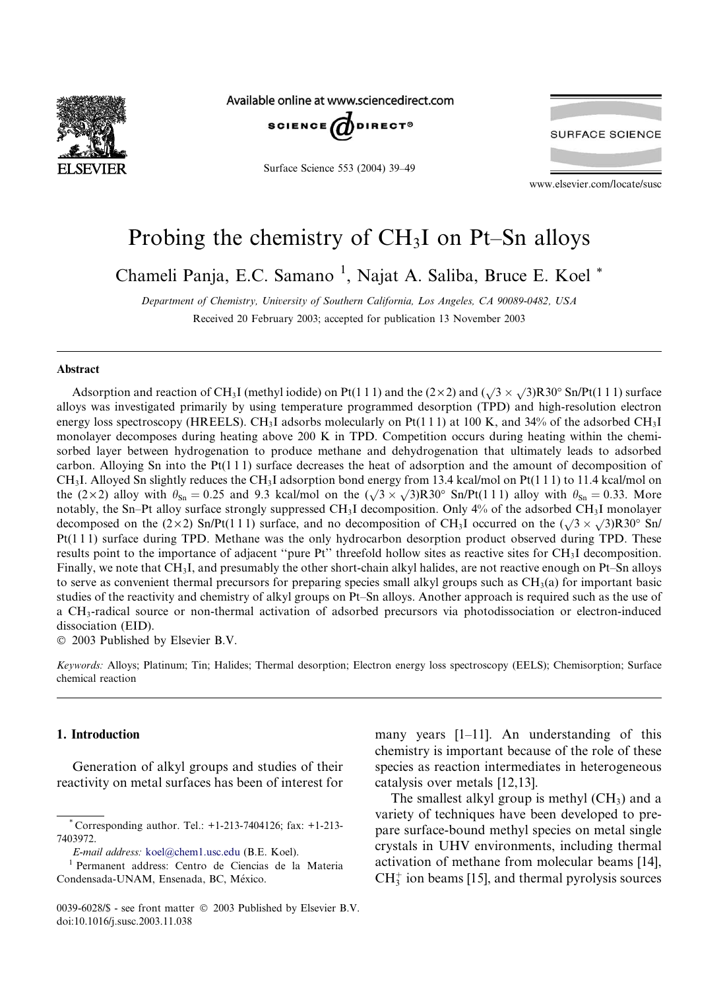

Available online at www.sciencedirect.com



Surface Science 553 (2004) 39–49

**SURFACE SCIENCE** 

www.elsevier.com/locate/susc

# Probing the chemistry of CH3I on Pt–Sn alloys

Chameli Panja, E.C. Samano<sup>1</sup>, Najat A. Saliba, Bruce E. Koel<sup>\*</sup>

Department of Chemistry, University of Southern California, Los Angeles, CA 90089-0482, USA Received 20 February 2003; accepted for publication 13 November 2003

#### Abstract

Adsorption and reaction of CH<sub>3</sub>I (methyl iodide) on Pt(1 1 1) and the (2 × 2) and ( $\sqrt{3}$  ×  $\sqrt{3}$ )R30° Sn/Pt(1 1 1) surface alloys was investigated primarily by using temperature programmed desorption (TPD) and high-resolution electron energy loss spectroscopy (HREELS). CH<sub>3</sub>I adsorbs molecularly on Pt(1 1 1) at 100 K, and 34% of the adsorbed CH<sub>3</sub>I monolayer decomposes during heating above 200 K in TPD. Competition occurs during heating within the chemisorbed layer between hydrogenation to produce methane and dehydrogenation that ultimately leads to adsorbed carbon. Alloying Sn into the Pt(1 1 1) surface decreases the heat of adsorption and the amount of decomposition of CH<sub>3</sub>I. Alloyed Sn slightly reduces the CH<sub>3</sub>I adsorption bond energy from 13.4 kcal/mol on Pt(111) to 11.4 kcal/mol on the (2×2) alloy with  $\theta_{\text{Sn}} = 0.25$  and 9.3 kcal/mol on the ( $\sqrt{3} \times \sqrt{3}$ R30° Sn/Pt(111) alloy with  $\theta_{\text{Sn}} = 0.33$ . More notably, the Sn–Pt alloy surface strongly suppressed CH3I decomposition. Only 4% of the adsorbed CH3I monolayer decomposed on the  $(2 \times 2)$  Sn/Pt(111) surface, and no decomposition of CH<sub>3</sub>I occurred on the  $(\sqrt{3} \times \sqrt{3})R30^\circ$  Sn/ Pt(1 1 1) surface during TPD. Methane was the only hydrocarbon desorption product observed during TPD. These results point to the importance of adjacent ''pure Pt'' threefold hollow sites as reactive sites for CH3I decomposition. Finally, we note that CH3I, and presumably the other short-chain alkyl halides, are not reactive enough on Pt–Sn alloys to serve as convenient thermal precursors for preparing species small alkyl groups such as  $CH<sub>3</sub>(a)$  for important basic studies of the reactivity and chemistry of alkyl groups on Pt–Sn alloys. Another approach is required such as the use of a CH3-radical source or non-thermal activation of adsorbed precursors via photodissociation or electron-induced dissociation (EID).

2003 Published by Elsevier B.V.

Keywords: Alloys; Platinum; Tin; Halides; Thermal desorption; Electron energy loss spectroscopy (EELS); Chemisorption; Surface chemical reaction

## 1. Introduction

Generation of alkyl groups and studies of their reactivity on metal surfaces has been of interest for

many years [1–11]. An understanding of this chemistry is important because of the role of these species as reaction intermediates in heterogeneous catalysis over metals [12,13].

The smallest alkyl group is methyl  $(CH<sub>3</sub>)$  and a variety of techniques have been developed to prepare surface-bound methyl species on metal single crystals in UHV environments, including thermal activation of methane from molecular beams [14],  $CH<sub>3</sub><sup>+</sup>$  ion beams [15], and thermal pyrolysis sources

Corresponding author. Tel.:  $+1-213-7404126$ ; fax:  $+1-213-7404126$ 7403972.

E-mail address: [koel@chem1.usc.edu](mail to: koel@chem1.usc.edu) (B.E. Koel).

<sup>1</sup> Permanent address: Centro de Ciencias de la Materia Condensada-UNAM, Ensenada, BC, Mexico.

<sup>0039-6028/\$ -</sup> see front matter  $©$  2003 Published by Elsevier B.V. doi:10.1016/j.susc.2003.11.038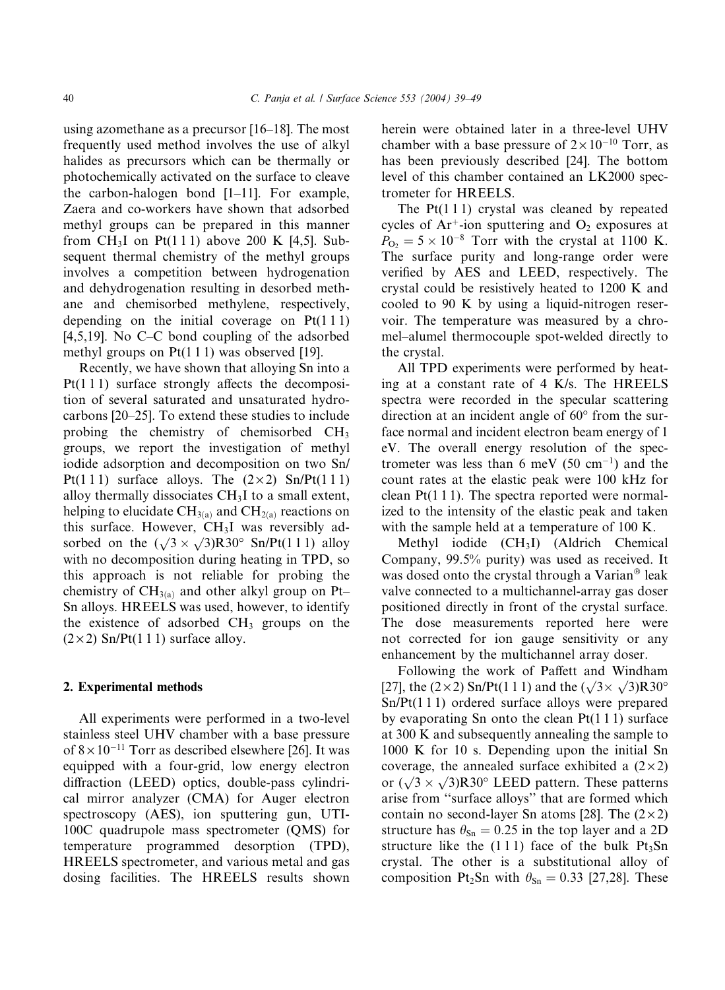using azomethane as a precursor [16–18]. The most frequently used method involves the use of alkyl halides as precursors which can be thermally or photochemically activated on the surface to cleave the carbon-halogen bond [1–11]. For example, Zaera and co-workers have shown that adsorbed methyl groups can be prepared in this manner from CH<sub>3</sub>I on Pt(111) above 200 K [4,5]. Subsequent thermal chemistry of the methyl groups involves a competition between hydrogenation and dehydrogenation resulting in desorbed methane and chemisorbed methylene, respectively, depending on the initial coverage on  $Pt(111)$ [4,5,19]. No C–C bond coupling of the adsorbed methyl groups on Pt(1 1 1) was observed [19].

Recently, we have shown that alloying Sn into a Pt(1 1 1) surface strongly affects the decomposition of several saturated and unsaturated hydrocarbons [20–25]. To extend these studies to include probing the chemistry of chemisorbed CH3 groups, we report the investigation of methyl iodide adsorption and decomposition on two Sn/ Pt(111) surface alloys. The  $(2 \times 2)$  Sn/Pt(111) alloy thermally dissociates  $CH<sub>3</sub>I$  to a small extent, helping to elucidate  $CH_{3(a)}$  and  $CH_{2(a)}$  reactions on this surface. However,  $CH<sub>3</sub>I$  was reversibly adsorbed on the  $(\sqrt{3} \times \sqrt{3})R30^\circ$  Sn/Pt(111) alloy with no decomposition during heating in TPD, so this approach is not reliable for probing the chemistry of  $CH_{3(a)}$  and other alkyl group on Pt– Sn alloys. HREELS was used, however, to identify the existence of adsorbed  $CH<sub>3</sub>$  groups on the  $(2 \times 2)$  Sn/Pt(1 1 1) surface alloy.

#### 2. Experimental methods

All experiments were performed in a two-level stainless steel UHV chamber with a base pressure of  $8 \times 10^{-11}$  Torr as described elsewhere [26]. It was equipped with a four-grid, low energy electron diffraction (LEED) optics, double-pass cylindrical mirror analyzer (CMA) for Auger electron spectroscopy (AES), ion sputtering gun, UTI-100C quadrupole mass spectrometer (QMS) for temperature programmed desorption (TPD), HREELS spectrometer, and various metal and gas dosing facilities. The HREELS results shown

herein were obtained later in a three-level UHV chamber with a base pressure of  $2 \times 10^{-10}$  Torr, as has been previously described [24]. The bottom level of this chamber contained an LK2000 spectrometer for HREELS.

The  $Pt(1\ 1\ 1)$  crystal was cleaned by repeated cycles of  $Ar^+$ -ion sputtering and  $O_2$  exposures at  $P_{\text{O}_2} = 5 \times 10^{-8}$  Torr with the crystal at 1100 K. The surface purity and long-range order were verified by AES and LEED, respectively. The crystal could be resistively heated to 1200 K and cooled to 90 K by using a liquid-nitrogen reservoir. The temperature was measured by a chromel–alumel thermocouple spot-welded directly to the crystal.

All TPD experiments were performed by heating at a constant rate of 4 K/s. The HREELS spectra were recorded in the specular scattering direction at an incident angle of  $60^{\circ}$  from the surface normal and incident electron beam energy of 1 eV. The overall energy resolution of the spectrometer was less than 6 meV (50 cm<sup>-1</sup>) and the count rates at the elastic peak were 100 kHz for clean  $Pt(1\ 1\ 1)$ . The spectra reported were normalized to the intensity of the elastic peak and taken with the sample held at a temperature of 100 K.

Methyl iodide (CH<sub>3</sub>I) (Aldrich Chemical Company, 99.5% purity) was used as received. It was dosed onto the crystal through a Varian<sup>®</sup> leak valve connected to a multichannel-array gas doser positioned directly in front of the crystal surface. The dose measurements reported here were not corrected for ion gauge sensitivity or any enhancement by the multichannel array doser.

Following the work of Paffett and Windham Following the work of Tallett and Windmann<br>[27], the  $(2\times2)$  Sn/Pt(1 1 1) and the  $(\sqrt{3}\times\sqrt{3})R30^\circ$ Sn/Pt(1 1 1) ordered surface alloys were prepared by evaporating Sn onto the clean Pt(1 1 1) surface at 300 K and subsequently annealing the sample to 1000 K for 10 s. Depending upon the initial Sn coverage, the annealed surface exhibited a  $(2 \times 2)$ for  $(\sqrt{3} \times \sqrt{3})R30^\circ$  LEED pattern. These patterns arise from ''surface alloys'' that are formed which contain no second-layer Sn atoms [28]. The  $(2\times2)$ structure has  $\theta_{\text{Sn}} = 0.25$  in the top layer and a 2D structure like the  $(1\ 1\ 1)$  face of the bulk  $Pt_3Sn$ crystal. The other is a substitutional alloy of composition Pt<sub>2</sub>Sn with  $\theta_{\text{Sn}} = 0.33$  [27,28]. These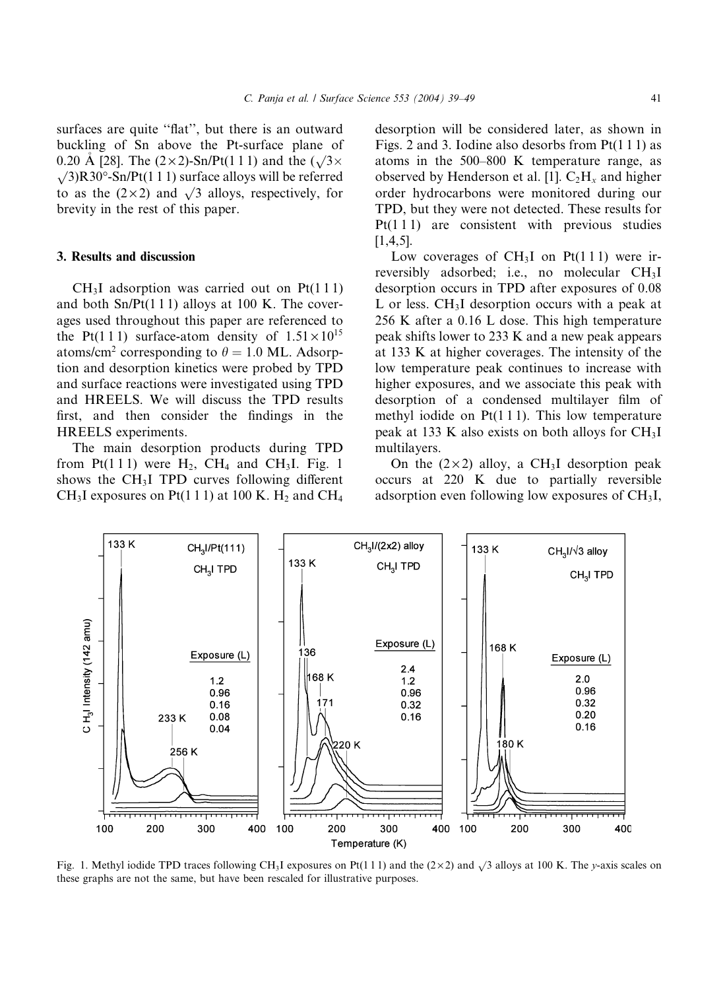surfaces are quite "flat", but there is an outward buckling of Sn above the Pt-surface plane of 0.20 Å [28]. The  $(2 \times 2)$ -Sn/Pt(1 1 1) and the  $(\sqrt{3} \times$  $\sqrt{3}$ R30<sup>o</sup>-Sn/Pt(1 1 1) surface alloys will be referred to as the  $(2 \times 2)$  and  $\sqrt{3}$  alloys, respectively, for brevity in the rest of this paper.

### 3. Results and discussion

133 K

 $CH<sub>3</sub>I$  adsorption was carried out on Pt(111) and both  $Sn/Pt(1 1 1)$  alloys at 100 K. The coverages used throughout this paper are referenced to the Pt(111) surface-atom density of  $1.51 \times 10^{15}$ atoms/cm<sup>2</sup> corresponding to  $\theta = 1.0$  ML. Adsorption and desorption kinetics were probed by TPD and surface reactions were investigated using TPD and HREELS. We will discuss the TPD results first, and then consider the findings in the HREELS experiments.

The main desorption products during TPD from Pt(111) were  $H_2$ , CH<sub>4</sub> and CH<sub>3</sub>I. Fig. 1 shows the CH3I TPD curves following different CH<sub>3</sub>I exposures on Pt(1 1 1) at 100 K. H<sub>2</sub> and CH<sub>4</sub>

CH<sub>3</sub>I/Pt(111)

desorption will be considered later, as shown in Figs. 2 and 3. Iodine also desorbs from  $Pt(1\ 1\ 1)$  as atoms in the 500–800 K temperature range, as observed by Henderson et al. [1].  $C_2H_x$  and higher order hydrocarbons were monitored during our TPD, but they were not detected. These results for  $Pt(1 1 1)$  are consistent with previous studies [1,4,5].

Low coverages of  $CH<sub>3</sub>I$  on Pt(111) were irreversibly adsorbed; i.e., no molecular CH3I desorption occurs in TPD after exposures of 0.08 L or less.  $CH<sub>3</sub>I$  desorption occurs with a peak at 256 K after a 0.16 L dose. This high temperature peak shifts lower to 233 K and a new peak appears at 133 K at higher coverages. The intensity of the low temperature peak continues to increase with higher exposures, and we associate this peak with desorption of a condensed multilayer film of methyl iodide on Pt(1 1 1). This low temperature peak at 133 K also exists on both alloys for CH3I multilayers.

On the  $(2 \times 2)$  alloy, a CH<sub>3</sub>I desorption peak occurs at 220 K due to partially reversible adsorption even following low exposures of  $CH<sub>3</sub>I$ ,

CH3I/V3 alloy

133 K



133 K

 $CH<sub>3</sub>I/(2x2)$  alloy

 $CH<sub>3</sub>I$  TPD

Fig. 1. Methyl iodide TPD traces following CH<sub>3</sub>I exposures on Pt(111) and the (2×2) and  $\sqrt{3}$  alloys at 100 K. The y-axis scales on these graphs are not the same, but have been rescaled for illustrative purposes.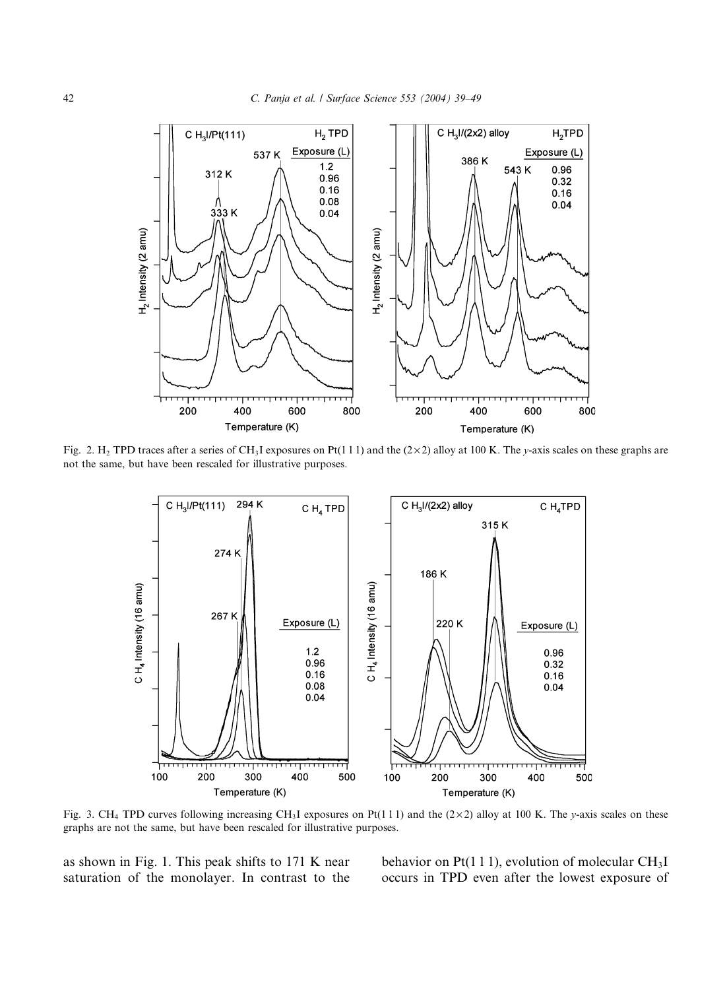

Fig. 2. H<sub>2</sub> TPD traces after a series of CH<sub>3</sub>I exposures on Pt(111) and the (2×2) alloy at 100 K. The y-axis scales on these graphs are not the same, but have been rescaled for illustrative purposes.



Fig. 3. CH<sub>4</sub> TPD curves following increasing CH<sub>3</sub>I exposures on Pt(111) and the (2×2) alloy at 100 K. The y-axis scales on these graphs are not the same, but have been rescaled for illustrative purposes.

as shown in Fig. 1. This peak shifts to 171 K near saturation of the monolayer. In contrast to the behavior on Pt(1 1 1), evolution of molecular  $CH<sub>3</sub>I$ occurs in TPD even after the lowest exposure of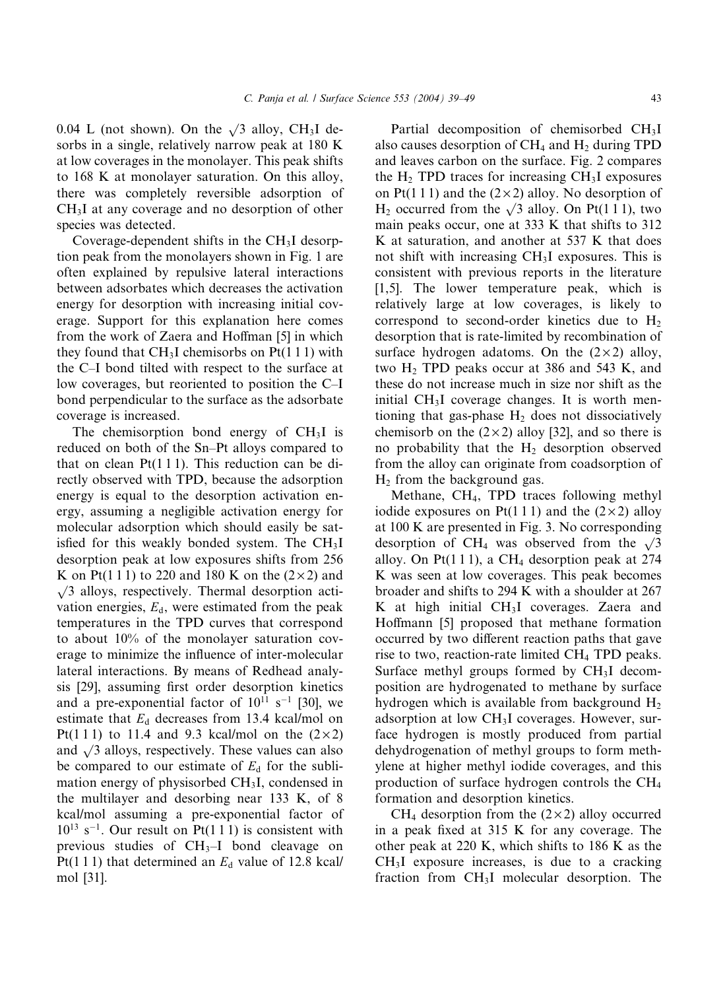0.04 L (not shown). On the  $\sqrt{3}$  alloy, CH<sub>3</sub>I desorbs in a single, relatively narrow peak at 180 K at low coverages in the monolayer. This peak shifts to 168 K at monolayer saturation. On this alloy, there was completely reversible adsorption of CH3I at any coverage and no desorption of other species was detected.

Coverage-dependent shifts in the CH3I desorption peak from the monolayers shown in Fig. 1 are often explained by repulsive lateral interactions between adsorbates which decreases the activation energy for desorption with increasing initial coverage. Support for this explanation here comes from the work of Zaera and Hoffman [5] in which they found that  $CH<sub>3</sub>I$  chemisorbs on Pt(1 1 1) with the C–I bond tilted with respect to the surface at low coverages, but reoriented to position the C–I bond perpendicular to the surface as the adsorbate coverage is increased.

The chemisorption bond energy of  $CH<sub>3</sub>I$  is reduced on both of the Sn–Pt alloys compared to that on clean  $Pt(1\ 1\ 1)$ . This reduction can be directly observed with TPD, because the adsorption energy is equal to the desorption activation energy, assuming a negligible activation energy for molecular adsorption which should easily be satisfied for this weakly bonded system. The  $CH<sub>3</sub>I$ desorption peak at low exposures shifts from 256 K on Pt(111) to 220 and 180 K on the  $(2\times2)$  and  $\sqrt{3}$  alloys, respectively. Thermal desorption activation energies,  $E_d$ , were estimated from the peak temperatures in the TPD curves that correspond to about 10% of the monolayer saturation coverage to minimize the influence of inter-molecular lateral interactions. By means of Redhead analysis [29], assuming first order desorption kinetics and a pre-exponential factor of  $10^{11}$  s<sup>-1</sup> [30], we estimate that  $E_d$  decreases from 13.4 kcal/mol on Pt(111) to 11.4 and 9.3 kcal/mol on the  $(2\times2)$ and  $\sqrt{3}$  alloys, respectively. These values can also be compared to our estimate of  $E_d$  for the sublimation energy of physisorbed CH3I, condensed in the multilayer and desorbing near 133 K, of 8 kcal/mol assuming a pre-exponential factor of  $10^{13}$  s<sup>-1</sup>. Our result on Pt(1 1 1) is consistent with previous studies of  $CH<sub>3</sub>-I$  bond cleavage on Pt(1 1 1) that determined an  $E_d$  value of 12.8 kcal/ mol [31].

Partial decomposition of chemisorbed CH3I also causes desorption of  $CH_4$  and  $H_2$  during TPD and leaves carbon on the surface. Fig. 2 compares the  $H_2$  TPD traces for increasing CH<sub>3</sub>I exposures on Pt(1 1 1) and the  $(2 \times 2)$  alloy. No desorption of  $H_2$  occurred from the  $\sqrt{3}$  alloy. On Pt(1 1 1), two main peaks occur, one at 333 K that shifts to 312 K at saturation, and another at 537 K that does not shift with increasing CH3I exposures. This is consistent with previous reports in the literature [1,5]. The lower temperature peak, which is relatively large at low coverages, is likely to correspond to second-order kinetics due to  $H_2$ desorption that is rate-limited by recombination of surface hydrogen adatoms. On the  $(2 \times 2)$  alloy, two  $H_2$  TPD peaks occur at 386 and 543 K, and these do not increase much in size nor shift as the initial  $CH<sub>3</sub>I$  coverage changes. It is worth mentioning that gas-phase  $H_2$  does not dissociatively chemisorb on the  $(2 \times 2)$  alloy [32], and so there is no probability that the  $H_2$  desorption observed from the alloy can originate from coadsorption of  $H_2$  from the background gas.

Methane, CH4, TPD traces following methyl iodide exposures on Pt(1 1 1) and the  $(2 \times 2)$  alloy at 100 K are presented in Fig. 3. No corresponding desorption of CH<sub>4</sub> was observed from the  $\sqrt{3}$ alloy. On Pt $(1 1 1)$ , a CH<sub>4</sub> desorption peak at 274 K was seen at low coverages. This peak becomes broader and shifts to 294 K with a shoulder at 267 K at high initial  $CH<sub>3</sub>I$  coverages. Zaera and Hoffmann [5] proposed that methane formation occurred by two different reaction paths that gave rise to two, reaction-rate limited CH<sub>4</sub> TPD peaks. Surface methyl groups formed by  $CH<sub>3</sub>I$  decomposition are hydrogenated to methane by surface hydrogen which is available from background  $H_2$ adsorption at low CH3I coverages. However, surface hydrogen is mostly produced from partial dehydrogenation of methyl groups to form methylene at higher methyl iodide coverages, and this production of surface hydrogen controls the CH4 formation and desorption kinetics.

CH<sub>4</sub> desorption from the  $(2 \times 2)$  alloy occurred in a peak fixed at 315 K for any coverage. The other peak at 220 K, which shifts to 186 K as the  $CH<sub>3</sub>I$  exposure increases, is due to a cracking fraction from  $CH<sub>3</sub>I$  molecular desorption. The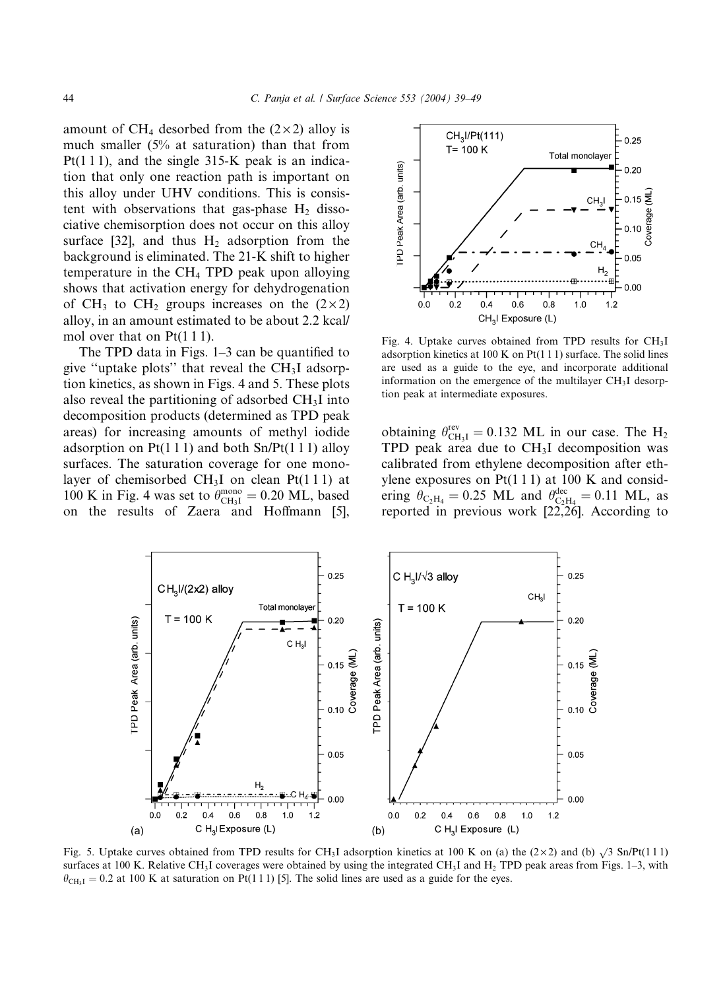amount of CH<sub>4</sub> desorbed from the  $(2\times2)$  alloy is much smaller (5% at saturation) than that from Pt(1 1 1), and the single 315-K peak is an indication that only one reaction path is important on this alloy under UHV conditions. This is consistent with observations that gas-phase  $H_2$  dissociative chemisorption does not occur on this alloy surface [32], and thus  $H_2$  adsorption from the background is eliminated. The 21-K shift to higher temperature in the CH4 TPD peak upon alloying shows that activation energy for dehydrogenation of CH<sub>3</sub> to CH<sub>2</sub> groups increases on the  $(2\times2)$ alloy, in an amount estimated to be about 2.2 kcal/ mol over that on Pt(1 1 1).

The TPD data in Figs. 1–3 can be quantified to give "uptake plots" that reveal the  $CH<sub>3</sub>I$  adsorption kinetics, as shown in Figs. 4 and 5. These plots also reveal the partitioning of adsorbed  $CH<sub>3</sub>I$  into decomposition products (determined as TPD peak areas) for increasing amounts of methyl iodide adsorption on  $Pt(1\ 1\ 1)$  and both  $Sn/Pt(1\ 1\ 1)$  alloy surfaces. The saturation coverage for one monolayer of chemisorbed  $CH<sub>3</sub>I$  on clean Pt(111) at 100 K in Fig. 4 was set to  $\theta_{\text{CH}_3I}^{\text{mono}} = 0.20 \text{ ML}$ , based on the results of Zaera and Hoffmann [5],



Fig. 4. Uptake curves obtained from TPD results for CH<sub>3</sub>I adsorption kinetics at 100 K on  $Pt(1\ 1\ 1)$  surface. The solid lines are used as a guide to the eye, and incorporate additional information on the emergence of the multilayer CH<sub>3</sub>I desorption peak at intermediate exposures.

obtaining  $\theta_{\text{CH}_3I}^{\text{rev}} = 0.132 \text{ ML}$  in our case. The  $\text{H}_2$ TPD peak area due to  $CH<sub>3</sub>I$  decomposition was calibrated from ethylene decomposition after ethylene exposures on  $Pt(1\ 1\ 1)$  at 100 K and considering  $\theta_{\text{C}_2\text{H}_4} = 0.25 \text{ ML}$  and  $\theta_{\text{C}_2\text{H}_4}^{\text{dec}} = 0.11 \text{ ML}$ , as reported in previous work [22,26]. According to



Fig. 5. Uptake curves obtained from TPD results for CH<sub>3</sub>I adsorption kinetics at 100 K on (a) the (2×2) and (b)  $\sqrt{3}$  Sn/Pt(111) surfaces at 100 K. Relative CH<sub>3</sub>I coverages were obtained by using the integrated CH<sub>3</sub>I and H<sub>2</sub> TPD peak areas from Figs. 1-3, with  $\theta_{\text{CH}_3 I} = 0.2$  at 100 K at saturation on Pt(1 1 1) [5]. The solid lines are used as a guide for the eyes.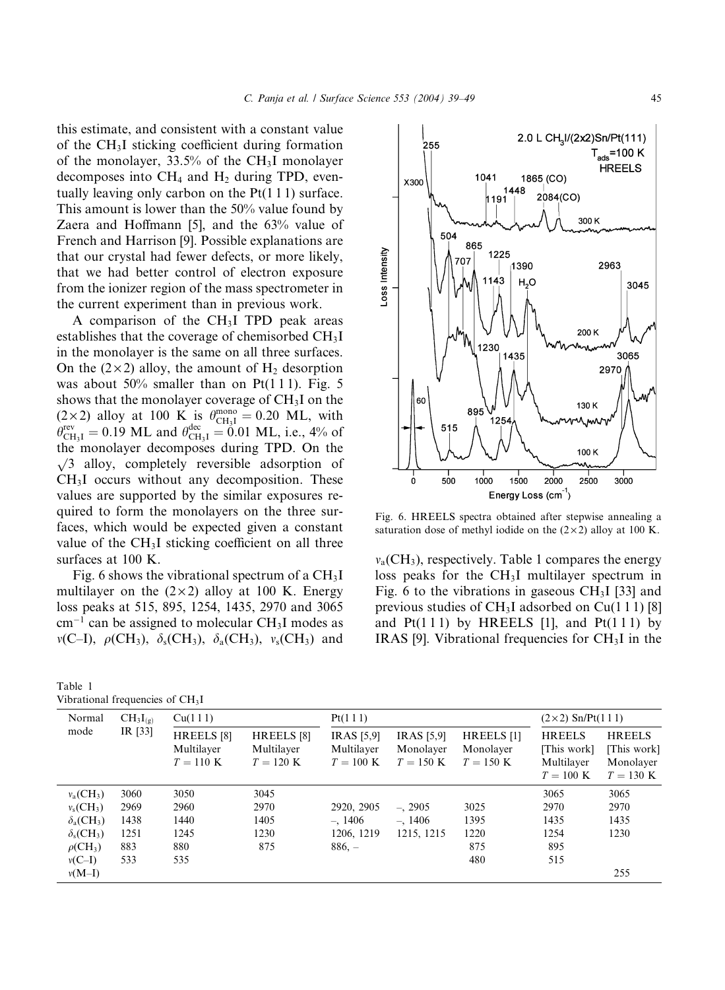this estimate, and consistent with a constant value of the CH3I sticking coefficient during formation of the monolayer, 33.5% of the  $CH<sub>3</sub>I$  monolayer decomposes into  $CH_4$  and  $H_2$  during TPD, eventually leaving only carbon on the Pt(1 1 1) surface. This amount is lower than the 50% value found by Zaera and Hoffmann [5], and the 63% value of French and Harrison [9]. Possible explanations are that our crystal had fewer defects, or more likely, that we had better control of electron exposure from the ionizer region of the mass spectrometer in the current experiment than in previous work.

A comparison of the  $CH<sub>3</sub>I$  TPD peak areas establishes that the coverage of chemisorbed CH3I in the monolayer is the same on all three surfaces. On the  $(2\times 2)$  alloy, the amount of H<sub>2</sub> desorption was about  $50\%$  smaller than on Pt $(1\ 1\ 1)$ . Fig. 5 shows that the monolayer coverage of  $CH<sub>3</sub>I$  on the  $(2 \times 2)$  alloy at 100 K is  $\theta_{\text{CH}_3I}^{\text{mono}} = 0.20$  ML, with  $\theta_{\text{CH}_3I}^{\text{rev}} = 0.19 \text{ ML}$  and  $\theta_{\text{CH}_3I}^{\text{dec}} = 0.01 \text{ ML}$ , i.e., 4% of the monolayer decomposes during TPD. On the  $\sqrt{3}$  alloy, completely reversible adsorption of CH3I occurs without any decomposition. These values are supported by the similar exposures required to form the monolayers on the three surfaces, which would be expected given a constant value of the  $CH<sub>3</sub>I$  sticking coefficient on all three surfaces at 100 K.

Fig. 6 shows the vibrational spectrum of a CH3I multilayer on the  $(2 \times 2)$  alloy at 100 K. Energy loss peaks at 515, 895, 1254, 1435, 2970 and 3065  $cm^{-1}$  can be assigned to molecular CH<sub>3</sub>I modes as  $v(C-I)$ ,  $\rho(CH_3)$ ,  $\delta_s(CH_3)$ ,  $\delta_a(CH_3)$ ,  $v_s(CH_3)$  and

| rabic i                                      |  |  |
|----------------------------------------------|--|--|
| Vibrational frequencies of CH <sub>3</sub> I |  |  |

Table 1



Fig. 6. HREELS spectra obtained after stepwise annealing a saturation dose of methyl iodide on the  $(2 \times 2)$  alloy at 100 K.

 $v_a$ (CH<sub>3</sub>), respectively. Table 1 compares the energy loss peaks for the CH3I multilayer spectrum in Fig. 6 to the vibrations in gaseous  $CH<sub>3</sub>I$  [33] and previous studies of  $CH<sub>3</sub>I$  adsorbed on Cu(111) [8] and  $Pt(111)$  by HREELS [1], and  $Pt(111)$  by IRAS [9]. Vibrational frequencies for  $CH<sub>3</sub>I$  in the

| Normal                              | $CH_3I_{(g)}$ | Cu(111)                                            |                                                    | Pt(111)                                        |                                                       |                                                   | $(2 \times 2)$ Sn/Pt(1 1 1)                                       |                                                                  |
|-------------------------------------|---------------|----------------------------------------------------|----------------------------------------------------|------------------------------------------------|-------------------------------------------------------|---------------------------------------------------|-------------------------------------------------------------------|------------------------------------------------------------------|
| mode                                | IR [33]       | HREELS <sup>[8]</sup><br>Multilayer<br>$T = 110$ K | HREELS <sup>[8]</sup><br>Multilayer<br>$T = 120$ K | <b>IRAS</b> [5,9]<br>Multilayer<br>$T = 100$ K | <b>IRAS</b> [5,9]<br>Monolayer<br>$T = 150 \text{ K}$ | HREELS <sup>[1]</sup><br>Monolayer<br>$T = 150$ K | <b>HREELS</b><br>[This work]<br>Multilayer<br>$T = 100 \text{ K}$ | <b>HREELS</b><br>[This work]<br>Monolayer<br>$T = 130 \text{ K}$ |
| $v_a$ (CH <sub>3</sub> )            | 3060          | 3050                                               | 3045                                               |                                                |                                                       |                                                   | 3065                                                              | 3065                                                             |
| $v_s$ (CH <sub>3</sub> )            | 2969          | 2960                                               | 2970                                               | 2920, 2905                                     | $-$ , 2905                                            | 3025                                              | 2970                                                              | 2970                                                             |
| $\delta_{a}(CH_{3})$                | 1438          | 1440                                               | 1405                                               | $-.1406$                                       | $-.1406$                                              | 1395                                              | 1435                                                              | 1435                                                             |
| $\delta_{\rm s}$ (CH <sub>3</sub> ) | 1251          | 1245                                               | 1230                                               | 1206, 1219                                     | 1215, 1215                                            | 1220                                              | 1254                                                              | 1230                                                             |
| $\rho$ (CH <sub>3</sub> )           | 883           | 880                                                | 875                                                | $886, -$                                       |                                                       | 875                                               | 895                                                               |                                                                  |
| $v(C-I)$                            | 533           | 535                                                |                                                    |                                                |                                                       | 480                                               | 515                                                               |                                                                  |
| $v(M-I)$                            |               |                                                    |                                                    |                                                |                                                       |                                                   |                                                                   | 255                                                              |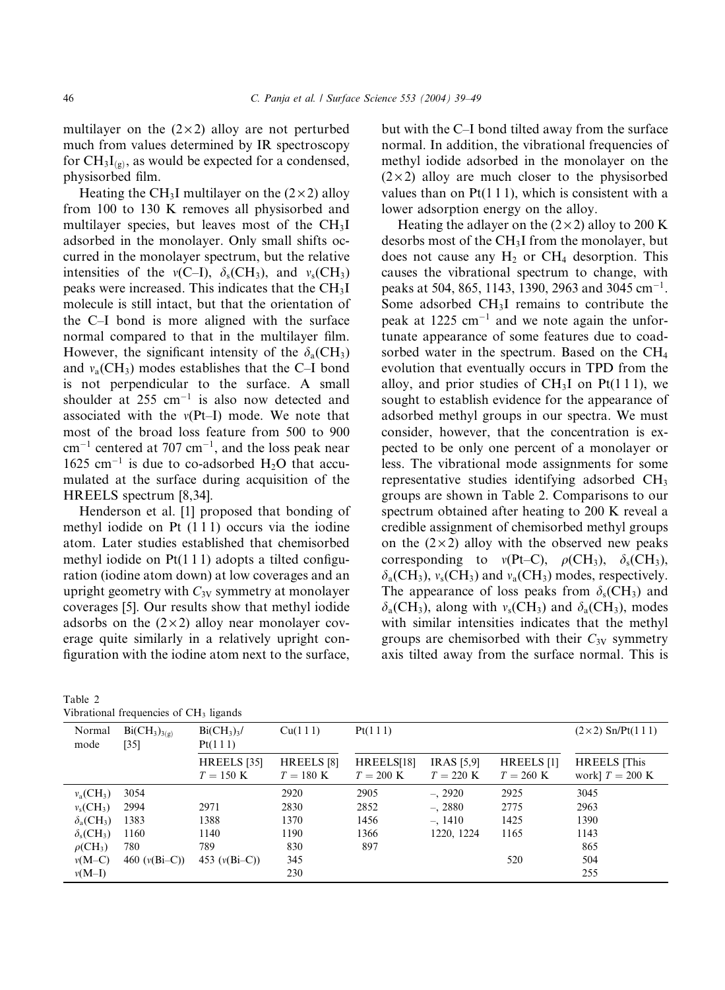multilayer on the  $(2 \times 2)$  alloy are not perturbed much from values determined by IR spectroscopy for  $CH_3I_{(g)}$ , as would be expected for a condensed, physisorbed film.

Heating the CH<sub>3</sub>I multilayer on the  $(2 \times 2)$  alloy from 100 to 130 K removes all physisorbed and multilayer species, but leaves most of the  $CH<sub>3</sub>I$ adsorbed in the monolayer. Only small shifts occurred in the monolayer spectrum, but the relative intensities of the  $v(C-I)$ ,  $\delta_s$ (CH<sub>3</sub>), and  $v_s$ (CH<sub>3</sub>) peaks were increased. This indicates that the CH3I molecule is still intact, but that the orientation of the C–I bond is more aligned with the surface normal compared to that in the multilayer film. However, the significant intensity of the  $\delta_a$ (CH<sub>3</sub>) and  $v_a$ (CH<sub>3</sub>) modes establishes that the C–I bond is not perpendicular to the surface. A small shoulder at  $255 \text{ cm}^{-1}$  is also now detected and associated with the  $v(Pt-I)$  mode. We note that most of the broad loss feature from 500 to 900  $cm^{-1}$  centered at 707  $cm^{-1}$ , and the loss peak near 1625 cm<sup>-1</sup> is due to co-adsorbed  $H_2O$  that accumulated at the surface during acquisition of the HREELS spectrum [8,34].

Henderson et al. [1] proposed that bonding of methyl iodide on Pt (111) occurs via the iodine atom. Later studies established that chemisorbed methyl iodide on  $Pt(1\ 1\ 1)$  adopts a tilted configuration (iodine atom down) at low coverages and an upright geometry with  $C_{3V}$  symmetry at monolayer coverages [5]. Our results show that methyl iodide adsorbs on the  $(2 \times 2)$  alloy near monolayer coverage quite similarly in a relatively upright configuration with the iodine atom next to the surface,

| Table 2 |                                                    |  |
|---------|----------------------------------------------------|--|
|         | Vibrational frequencies of CH <sub>3</sub> ligands |  |

but with the C–I bond tilted away from the surface normal. In addition, the vibrational frequencies of methyl iodide adsorbed in the monolayer on the  $(2 \times 2)$  alloy are much closer to the physisorbed values than on  $Pt(111)$ , which is consistent with a lower adsorption energy on the alloy.

Heating the adlayer on the  $(2 \times 2)$  alloy to 200 K desorbs most of the CH3I from the monolayer, but does not cause any  $H_2$  or CH<sub>4</sub> desorption. This causes the vibrational spectrum to change, with peaks at 504, 865, 1143, 1390, 2963 and 3045 cm<sup>-1</sup>. Some adsorbed CH3I remains to contribute the peak at  $1225 \text{ cm}^{-1}$  and we note again the unfortunate appearance of some features due to coadsorbed water in the spectrum. Based on the CH4 evolution that eventually occurs in TPD from the alloy, and prior studies of  $CH<sub>3</sub>I$  on Pt(111), we sought to establish evidence for the appearance of adsorbed methyl groups in our spectra. We must consider, however, that the concentration is expected to be only one percent of a monolayer or less. The vibrational mode assignments for some representative studies identifying adsorbed CH3 groups are shown in Table 2. Comparisons to our spectrum obtained after heating to 200 K reveal a credible assignment of chemisorbed methyl groups on the  $(2 \times 2)$  alloy with the observed new peaks corresponding to  $v(Pt-C)$ ,  $\rho$ (CH<sub>3</sub>),  $\delta_s$ (CH<sub>3</sub>),  $\delta_a$ (CH<sub>3</sub>),  $v_s$ (CH<sub>3</sub>) and  $v_a$ (CH<sub>3</sub>) modes, respectively. The appearance of loss peaks from  $\delta_s$  (CH<sub>3</sub>) and  $\delta_a$ (CH<sub>3</sub>), along with  $v_s$ (CH<sub>3</sub>) and  $\delta_a$ (CH<sub>3</sub>), modes with similar intensities indicates that the methyl groups are chemisorbed with their  $C_{3V}$  symmetry axis tilted away from the surface normal. This is

| vibrational frequencies of CIT, figures |                           |                                                 |                                              |                           |                                          |                                   |                                         |  |
|-----------------------------------------|---------------------------|-------------------------------------------------|----------------------------------------------|---------------------------|------------------------------------------|-----------------------------------|-----------------------------------------|--|
| Normal<br>mode                          | $Bi(CH_3)_{3(g)}$<br>[35] | $Bi(CH_3)$ <sub>3</sub> /<br>Cu(111)<br>Pt(111) |                                              | Pt(111)                   |                                          |                                   | $(2 \times 2)$ Sn/Pt $(1 1 1)$          |  |
|                                         |                           | HREELS [35]<br>$T = 150 \text{ K}$              | HREELS <sup>[8]</sup><br>$T = 180 \text{ K}$ | HREELS[18]<br>$T = 200$ K | <b>IRAS</b> [5,9]<br>$T = 220 \text{ K}$ | HREELS [1]<br>$T = 260 \text{ K}$ | <b>HREELS</b> This<br>work] $T = 200$ K |  |
| $v_a$ (CH <sub>3</sub> )                | 3054                      |                                                 | 2920                                         | 2905                      | $-.2920$                                 | 2925                              | 3045                                    |  |
| $v_s$ (CH <sub>3</sub> )                | 2994                      | 2971                                            | 2830                                         | 2852                      | $-.2880$                                 | 2775                              | 2963                                    |  |
| $\delta_{a}(CH_{3})$                    | 1383                      | 1388                                            | 1370                                         | 1456                      | $-.1410$                                 | 1425                              | 1390                                    |  |
| $\delta_{\rm s}$ (CH <sub>3</sub> )     | 1160                      | 1140                                            | 1190                                         | 1366                      | 1220, 1224                               | 1165                              | 1143                                    |  |
| $\rho$ (CH <sub>3</sub> )               | 780                       | 789                                             | 830                                          | 897                       |                                          |                                   | 865                                     |  |
| $v(M-C)$                                | 460 $(v(Bi-C))$           | 453 $(v(Bi-C))$                                 | 345                                          |                           |                                          | 520                               | 504                                     |  |
| $v(M-I)$                                |                           |                                                 | 230                                          |                           |                                          |                                   | 255                                     |  |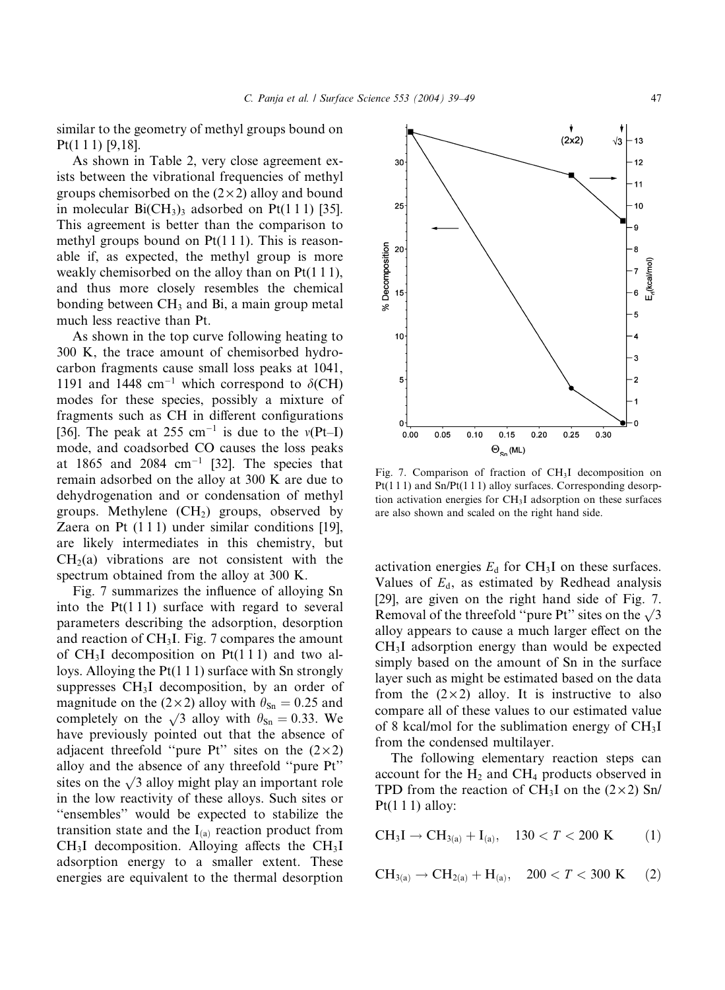similar to the geometry of methyl groups bound on Pt(1 1 1) [9,18].

As shown in Table 2, very close agreement exists between the vibrational frequencies of methyl groups chemisorbed on the  $(2 \times 2)$  alloy and bound in molecular  $Bi(CH_3)$ <sub>3</sub> adsorbed on Pt(111) [35]. This agreement is better than the comparison to methyl groups bound on Pt(1 1 1). This is reasonable if, as expected, the methyl group is more weakly chemisorbed on the alloy than on Pt(111), and thus more closely resembles the chemical bonding between  $CH<sub>3</sub>$  and Bi, a main group metal much less reactive than Pt.

As shown in the top curve following heating to 300 K, the trace amount of chemisorbed hydrocarbon fragments cause small loss peaks at 1041, 1191 and 1448 cm<sup>-1</sup> which correspond to  $\delta$ (CH) modes for these species, possibly a mixture of fragments such as CH in different configurations [36]. The peak at 255 cm<sup>-1</sup> is due to the  $v(Pt-I)$ mode, and coadsorbed CO causes the loss peaks at 1865 and 2084  $cm^{-1}$  [32]. The species that remain adsorbed on the alloy at 300 K are due to dehydrogenation and or condensation of methyl groups. Methylene  $(CH<sub>2</sub>)$  groups, observed by Zaera on Pt  $(1\ 1\ 1)$  under similar conditions [19], are likely intermediates in this chemistry, but  $CH<sub>2</sub>(a)$  vibrations are not consistent with the spectrum obtained from the alloy at 300 K.

Fig. 7 summarizes the influence of alloying Sn into the  $Pt(111)$  surface with regard to several parameters describing the adsorption, desorption and reaction of  $CH<sub>3</sub>I$ . Fig. 7 compares the amount of  $CH<sub>3</sub>I$  decomposition on Pt(111) and two alloys. Alloying the  $Pt(1\ 1\ 1)$  surface with Sn strongly suppresses CH<sub>3</sub>I decomposition, by an order of magnitude on the (2×2) alloy with  $\theta_{\text{Sn}} = 0.25$  and completely on the  $\sqrt{3}$  alloy with  $\theta_{\text{Sn}} = 0.33$ . We have previously pointed out that the absence of adjacent threefold "pure Pt" sites on the  $(2 \times 2)$ alloy and the absence of any threefold ''pure Pt'' sites on the  $\sqrt{3}$  alloy might play an important role in the low reactivity of these alloys. Such sites or ''ensembles'' would be expected to stabilize the transition state and the  $I_{(a)}$  reaction product from  $CH<sub>3</sub>I$  decomposition. Alloying affects the  $CH<sub>3</sub>I$ adsorption energy to a smaller extent. These energies are equivalent to the thermal desorption



Fig. 7. Comparison of fraction of  $CH<sub>3</sub>I$  decomposition on Pt(111) and Sn/Pt(111) alloy surfaces. Corresponding desorption activation energies for CH3I adsorption on these surfaces are also shown and scaled on the right hand side.

activation energies  $E_d$  for CH<sub>3</sub>I on these surfaces. Values of  $E_d$ , as estimated by Redhead analysis [29], are given on the right hand side of Fig. 7. Removal of the threefold "pure Pt" sites on the  $\sqrt{3}$ alloy appears to cause a much larger effect on the CH3I adsorption energy than would be expected simply based on the amount of Sn in the surface layer such as might be estimated based on the data from the  $(2 \times 2)$  alloy. It is instructive to also compare all of these values to our estimated value of 8 kcal/mol for the sublimation energy of  $CH<sub>3</sub>I$ from the condensed multilayer.

The following elementary reaction steps can account for the  $H_2$  and CH<sub>4</sub> products observed in TPD from the reaction of CH<sub>3</sub>I on the  $(2 \times 2)$  Sn/ Pt $(1 1 1)$  alloy:

$$
CH_3I \to CH_{3(a)} + I_{(a)}, \quad 130 < T < 200 \text{ K} \tag{1}
$$

$$
CH_{3(a)} \to CH_{2(a)} + H_{(a)}, \quad 200 < T < 300 \text{ K} \tag{2}
$$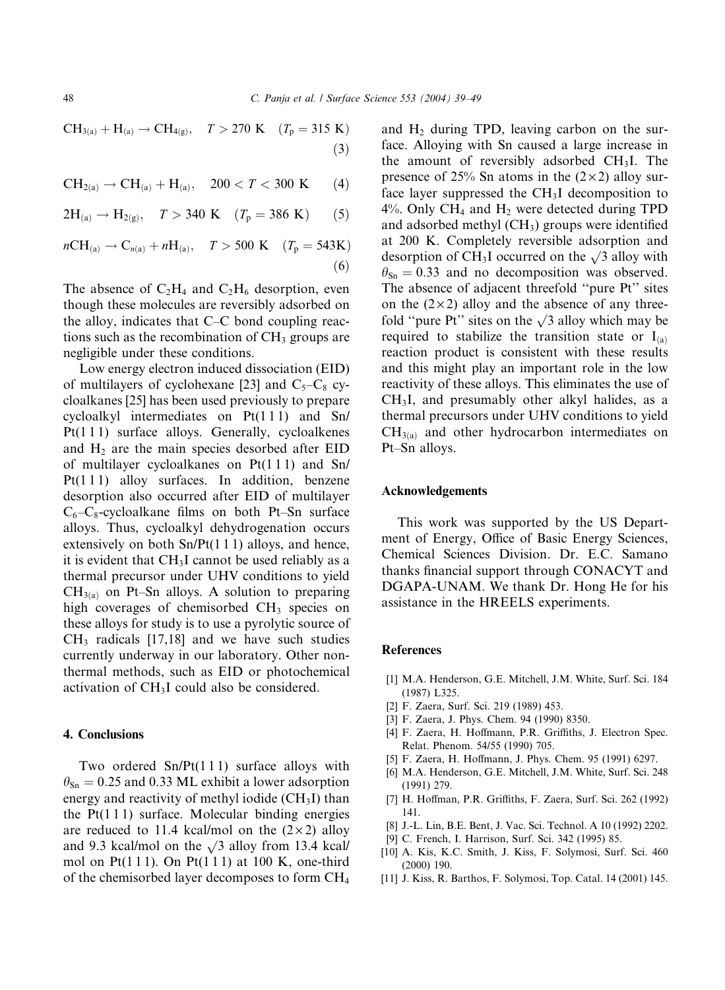$CH_{3(a)} + H_{(a)} \rightarrow CH_{4(g)},$   $T > 270 \text{ K}$   $(T_p = 315 \text{ K})$  $(3)$ 

 $CH_{2(a)} \to CH_{(a)} + H_{(a)},$  200 < T < 300 K (4)

 $2H_{(a)} \rightarrow H_{2(g)}, \quad T > 340 \text{ K} \quad (T_p = 386 \text{ K})$  (5)

 $nCH_{(a)} \to C_{n(a)} + nH_{(a)}, \quad T > 500 \text{ K} \quad (T_p = 543 \text{ K})$  $(6)$ 

The absence of  $C_2H_4$  and  $C_2H_6$  desorption, even though these molecules are reversibly adsorbed on the alloy, indicates that C–C bond coupling reactions such as the recombination of  $CH<sub>3</sub>$  groups are negligible under these conditions.

Low energy electron induced dissociation (EID) of multilayers of cyclohexane [23] and  $C_5-C_8$  cycloalkanes [25] has been used previously to prepare cycloalkyl intermediates on Pt(1 1 1) and Sn/ Pt(111) surface alloys. Generally, cycloalkenes and  $H_2$  are the main species desorbed after EID of multilayer cycloalkanes on  $Pt(1\ 1\ 1)$  and  $Sn/$ Pt(111) alloy surfaces. In addition, benzene desorption also occurred after EID of multilayer  $C_6-C_8$ -cycloalkane films on both Pt–Sn surface alloys. Thus, cycloalkyl dehydrogenation occurs extensively on both  $Sn/Pt(1 1 1)$  alloys, and hence, it is evident that  $CH<sub>3</sub>I$  cannot be used reliably as a thermal precursor under UHV conditions to yield  $CH<sub>3(a)</sub>$  on Pt–Sn alloys. A solution to preparing high coverages of chemisorbed CH<sub>3</sub> species on these alloys for study is to use a pyrolytic source of  $CH<sub>3</sub>$  radicals [17,18] and we have such studies currently underway in our laboratory. Other nonthermal methods, such as EID or photochemical activation of CH3I could also be considered.

### 4. Conclusions

Two ordered Sn/Pt(111) surface alloys with  $\theta_{\text{Sn}} = 0.25$  and 0.33 ML exhibit a lower adsorption energy and reactivity of methyl iodide  $(CH<sub>3</sub>I)$  than the  $Pt(1\ 1\ 1)$  surface. Molecular binding energies are reduced to 11.4 kcal/mol on the  $(2 \times 2)$  alloy and 9.3 kcal/mol on the  $\sqrt{3}$  alloy from 13.4 kcal/ mol on Pt $(1 1 1)$ . On Pt $(1 1 1)$  at 100 K, one-third of the chemisorbed layer decomposes to form CH4 and  $H_2$  during TPD, leaving carbon on the surface. Alloying with Sn caused a large increase in the amount of reversibly adsorbed  $CH<sub>3</sub>I$ . The presence of 25% Sn atoms in the  $(2 \times 2)$  alloy surface layer suppressed the  $CH<sub>3</sub>I$  decomposition to  $4\%$ . Only CH<sub>4</sub> and H<sub>2</sub> were detected during TPD and adsorbed methyl (CH<sub>3</sub>) groups were identified at 200 K. Completely reversible adsorption and desorption of CH<sub>3</sub>I occurred on the  $\sqrt{3}$  alloy with  $\theta_{\text{Sn}} = 0.33$  and no decomposition was observed. The absence of adjacent threefold ''pure Pt'' sites on the  $(2 \times 2)$  alloy and the absence of any threefold "pure Pt" sites on the  $\sqrt{3}$  alloy which may be required to stabilize the transition state or  $I_{(a)}$ reaction product is consistent with these results and this might play an important role in the low reactivity of these alloys. This eliminates the use of CH3I, and presumably other alkyl halides, as a thermal precursors under UHV conditions to yield  $CH<sub>3(a)</sub>$  and other hydrocarbon intermediates on Pt–Sn alloys.

#### Acknowledgements

This work was supported by the US Department of Energy, Office of Basic Energy Sciences, Chemical Sciences Division. Dr. E.C. Samano thanks financial support through CONACYT and DGAPA-UNAM. We thank Dr. Hong He for his assistance in the HREELS experiments.

#### References

- [1] M.A. Henderson, G.E. Mitchell, J.M. White, Surf. Sci. 184 (1987) L325.
- [2] F. Zaera, Surf. Sci. 219 (1989) 453.
- [3] F. Zaera, J. Phys. Chem. 94 (1990) 8350.
- [4] F. Zaera, H. Hoffmann, P.R. Griffiths, J. Electron Spec. Relat. Phenom. 54/55 (1990) 705.
- [5] F. Zaera, H. Hoffmann, J. Phys. Chem. 95 (1991) 6297.
- [6] M.A. Henderson, G.E. Mitchell, J.M. White, Surf. Sci. 248 (1991) 279.
- [7] H. Hoffman, P.R. Griffiths, F. Zaera, Surf. Sci. 262 (1992) 141.
- [8] J.-L. Lin, B.E. Bent, J. Vac. Sci. Technol. A 10 (1992) 2202.
- [9] C. French, I. Harrison, Surf. Sci. 342 (1995) 85.
- [10] A. Kis, K.C. Smith, J. Kiss, F. Solymosi, Surf. Sci. 460 (2000) 190.
- [11] J. Kiss, R. Barthos, F. Solymosi, Top. Catal. 14 (2001) 145.